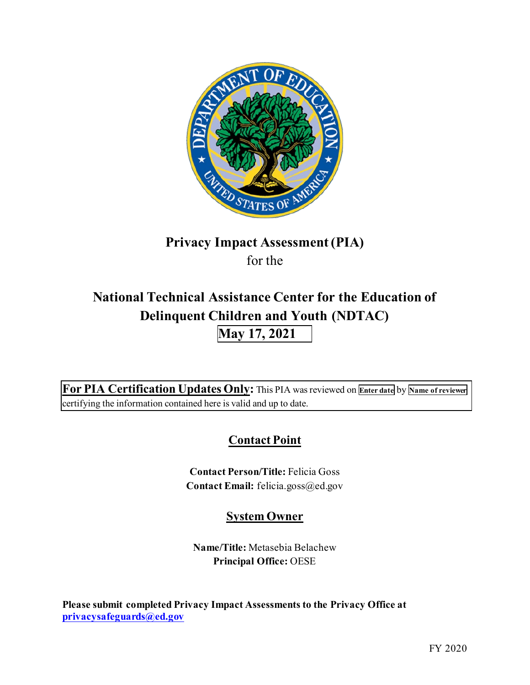

# **Privacy Impact Assessment (PIA)**  for the

# **National Technical Assistance Center for the Education of Delinquent Children and Youth (NDTAC) May 17, 2021**

 **For PIA Certification Updates Only:** This PIA was reviewed on **Enter date** by **Name of reviewer**  certifying the information contained here is valid and up to date.

# **Contact Point**

**Contact Person/Title:** Felicia Goss Contact Email: [felicia.goss@ed.gov](mailto:felicia.goss@ed.gov)

# **System Owner**

**Name/Title:** Metasebia Belachew **Principal Office:** OESE

 **[privacysafeguards@ed.gov](mailto:privacysafeguards@ed.gov) Please submit completed Privacy Impact Assessments to the Privacy Office at**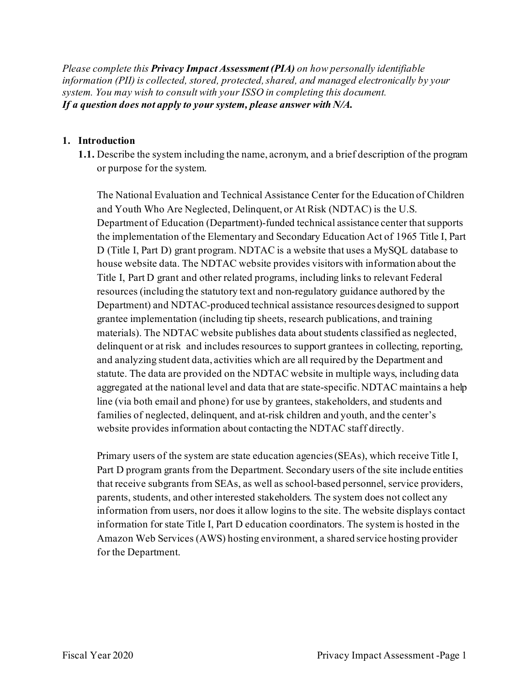*Please complete this Privacy Impact Assessment (PIA) on how personally identifiable information (PII) is collected, stored, protected, shared, and managed electronically by your system. You may wish to consult with your ISSO in completing this document. If a question does not apply to your system, please answer with N/A.* 

#### **1. Introduction**

or purpose for the system. **1.1.** Describe the system including the name, acronym, and a brief description of the program

 and Youth Who Are Neglected, Delinquent, or At Risk (NDTAC) is the U.S. D (Title I, Part D) grant program. NDTAC is a website that uses a MySQL database to Title I, Part D grant and other related programs, including links to relevant Federal delinquent or at risk and includes resources to support grantees in collecting, reporting, The National Evaluation and Technical Assistance Center for the Education of Children Department of Education (Department)-funded technical assistance center that supports the implementation of the Elementary and Secondary Education Act of 1965 Title I, Part house website data. The NDTAC website provides visitors with information about the resources (including the statutory text and non-regulatory guidance authored by the Department) and NDTAC-produced technical assistance resources designed to support grantee implementation (including tip sheets, research publications, and training materials). The NDTAC website publishes data about students classified as neglected, and analyzing student data, activities which are all required by the Department and statute. The data are provided on the NDTAC website in multiple ways, including data aggregated at the national level and data that are state-specific. NDTAC maintains a help line (via both email and phone) for use by grantees, stakeholders, and students and families of neglected, delinquent, and at-risk children and youth, and the center's website provides information about contacting the NDTAC staff directly.

Primary users of the system are state education agencies (SEAs), which receive Title I, Part D program grants from the Department. Secondary users of the site include entities that receive subgrants from SEAs, as well as school-based personnel, service providers, parents, students, and other interested stakeholders. The system does not collect any information from users, nor does it allow logins to the site. The website displays contact information for state Title I, Part D education coordinators. The system is hosted in the Amazon Web Services (AWS) hosting environment, a shared service hosting provider for the Department.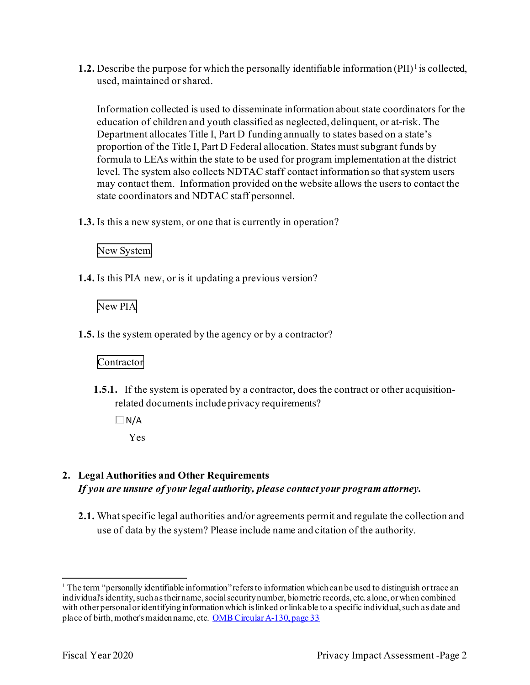**1.2.** Describe the purpose for which the personally identifiable information (PII)<sup>1</sup> is collected, used, maintained or shared.

 may contact them. Information provided on the website allows the users to contact the Information collected is used to disseminate information about state coordinators for the education of children and youth classified as neglected, delinquent, or at-risk. The Department allocates Title I, Part D funding annually to states based on a state's proportion of the Title I, Part D Federal allocation. States must subgrant funds by formula to LEAs within the state to be used for program implementation at the district level. The system also collects NDTAC staff contact information so that system users state coordinators and NDTAC staff personnel.

**1.3.** Is this a new system, or one that is currently in operation?

# New System

**1.4.** Is this PIA new, or is it updating a previous version?

New PIA

**1.5.** Is the system operated by the agency or by a contractor?

# Contractor

- **1.5.1.** If the system is operated by a contractor, does the contract or other acquisitionrelated documents include privacy requirements?
	- $\Box$  N/A

Yes

# **2. Legal Authorities and Other Requirements**  *If you are unsure of your legal authority, please contact your program attorney.*

**2.1.** What specific legal authorities and/or agreements permit and regulate the collection and use of data by the system? Please include name and citation of the authority.

place of birth, mother's maiden name, etc. OMB Circular A-130, page 33  $1$  The term "personally identifiable information" refers to information which can be used to distinguish or trace an individual's identity, such as their name, social security number, biometric records, etc. alone, or when combined with other personal or identifying information which is linked or linkable to a specific individual, such as date and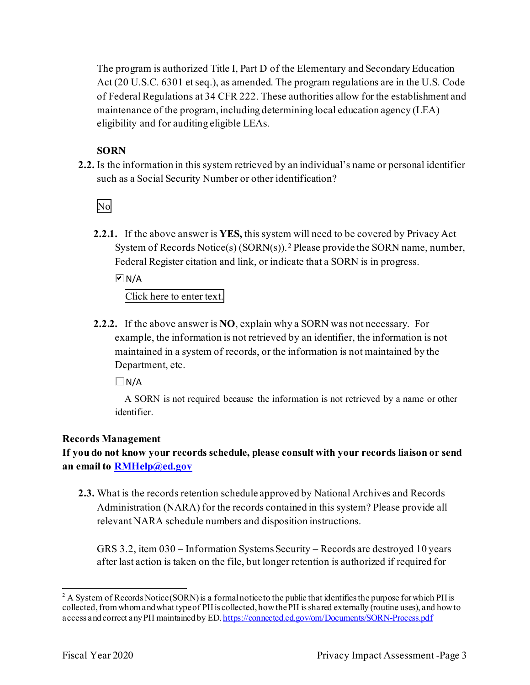The program is authorized Title I, Part D of the Elementary and Secondary Education Act (20 U.S.C. 6301 et seq.), as amended. The program regulations are in the U.S. Code of Federal Regulations at 34 CFR 222. These authorities allow for the establishment and maintenance of the program, including determining local education agency (LEA) eligibility and for auditing eligible LEAs.

### **SORN**

 such as a Social Security Number or other identification? **2.2.** Is the information in this system retrieved by an individual's name or personal identifier

No

**2.2.1.** If the above answer is **YES,** this system will need to be covered by Privacy Act System of Records Notice(s) (SORN(s)). <sup>2</sup> Please provide the SORN name, number, Federal Register citation and link, or indicate that a SORN is in progress.

 $\overline{M}$  N/A

Click here to enter text.

 **2.2.2.** If the above answer is **NO**, explain why a SORN was not necessary. For Department, etc. example, the information is not retrieved by an identifier, the information is not maintained in a system of records, or the information is not maintained by the

 $\Box$  N/A

 A SORN is not required because the information is not retrieved by a name or other identifier.

#### **Records Management**

**If you do not know your records schedule, please consult with your records liaison or send an email to [RMHelp@ed.gov](mailto:RMHelp@ed.gov)** 

 **2.3.** What is the records retention schedule approved by National Archives and Records Administration (NARA) for the records contained in this system? Please provide all relevant NARA schedule numbers and disposition instructions.

GRS 3.2, item 030 – Information Systems Security – Records are destroyed 10 years after last action is taken on the file, but longer retention is authorized if required for

access and correct any PII maintained by ED. <u>https://connected.ed.gov/om/Documents/SORN-Process.pdf</u><br>Fiscal Year 2020 Privacy Impact Assessment -Page 3 <sup>2</sup> A System of Records Notice (SORN) is a formal notice to the public that identifies the purpose for which PII is collected, from whom and what type of PII is collected, how the PII is shared externally (routine uses), and howto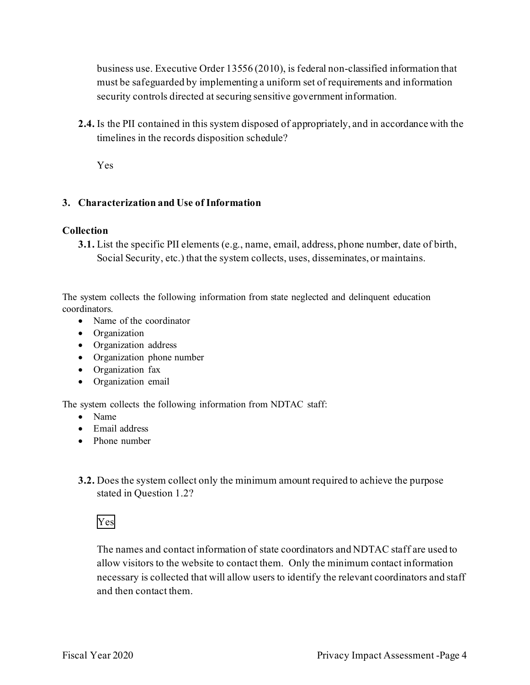business use. Executive Order 13556 (2010), is federal non-classified information that must be safeguarded by implementing a uniform set of requirements and information security controls directed at securing sensitive government information.

**2.4.** Is the PII contained in this system disposed of appropriately, and in accordance with the timelines in the records disposition schedule?

Yes

#### **3. Characterization and Use of Information**

#### **Collection**

**3.1.** List the specific PII elements (e.g., name, email, address, phone number, date of birth, Social Security, etc.) that the system collects, uses, disseminates, or maintains.

 coordinators. The system collects the following information from state neglected and delinquent education

- Name of the coordinator
- Organization
- Organization address
- Organization phone number
- Organization fax
- Organization email

The system collects the following information from NDTAC staff:

- Name
- Email address
- Phone number
- **3.2.** Does the system collect only the minimum amount required to achieve the purpose stated in Question 1.2?



 allow visitors to the website to contact them. Only the minimum contact information The names and contact information of state coordinators and NDTAC staff are used to necessary is collected that will allow users to identify the relevant coordinators and staff and then contact them.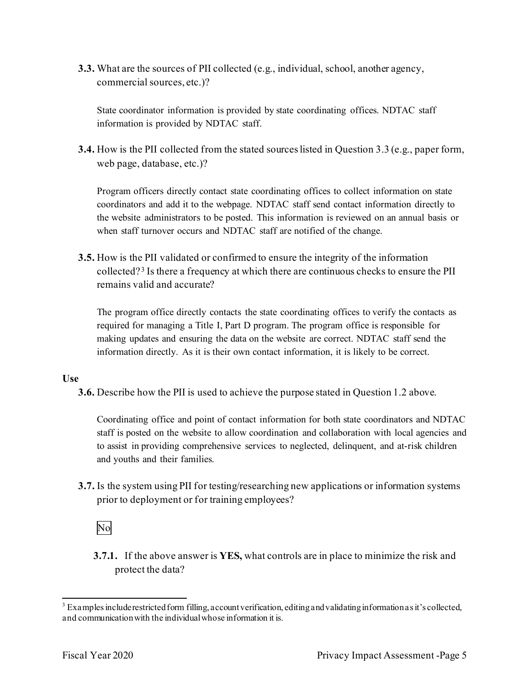**3.3.** What are the sources of PII collected (e.g., individual, school, another agency, commercial sources, etc.)?

State coordinator information is provided by state coordinating offices. NDTAC staff information is provided by NDTAC staff.

 **3.4.** How is the PII collected from the stated sourceslisted in Question 3.3 (e.g., paper form, web page, database, etc.)?

 Program officers directly contact state coordinating offices to collect information on state coordinators and add it to the webpage. NDTAC staff send contact information directly to the website administrators to be posted. This information is reviewed on an annual basis or when staff turnover occurs and NDTAC staff are notified of the change.

**3.5.** How is the PII validated or confirmed to ensure the integrity of the information collected? 3 Is there a frequency at which there are continuous checks to ensure the PII remains valid and accurate?

 The program office directly contacts the state coordinating offices to verify the contacts as required for managing a Title I, Part D program. The program office is responsible for making updates and ensuring the data on the website are correct. NDTAC staff send the information directly. As it is their own contact information, it is likely to be correct.

#### **Use**

**3.6.** Describe how the PII is used to achieve the purpose stated in Question 1.2 above.

 staff is posted on the website to allow coordination and collaboration with local agencies and Coordinating office and point of contact information for both state coordinators and NDTAC to assist in providing comprehensive services to neglected, delinquent, and at-risk children and youths and their families.

prior to deployment or for training employees?<br>No **3.7.** Is the system using PII for testing/researching new applications or information systems

**3.7.1.** If the above answer is **YES,** what controls are in place to minimize the risk and protect the data?

 and communication with the individual whose information it is. <sup>3</sup> Examples include restricted form filling, account verification, editing and validating information as it's collected,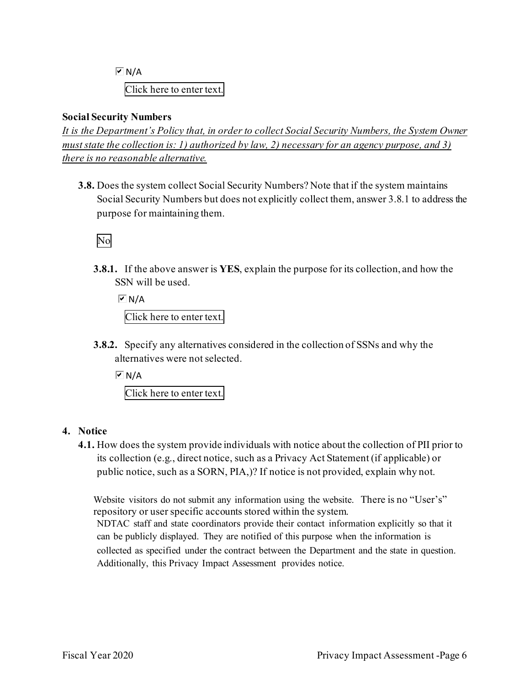Click here to enter text.  $\overline{\triangleright}$  N/A

#### **Social Security Numbers**

*It is the Department's Policy that, in order to collect Social Security Numbers, the System Owner must state the collection is: 1) authorized by law, 2) necessary for an agency purpose, and 3) there is no reasonable alternative.* 

**3.8.** Does the system collect Social Security Numbers? Note that if the system maintains Social Security Numbers but does not explicitly collect them, answer 3.8.1 to address the purpose for maintaining them.



 **3.8.1.** If the above answer is **YES**, explain the purpose for its collection, and how the SSN will be used.

 $M/N$ Click here to enter text.

**3.8.2.** Specify any alternatives considered in the collection of SSNs and why the alternatives were not selected.

 $\overline{M}$  N/A

Click here to enter text.

#### **4. Notice**

 its collection (e.g., direct notice, such as a Privacy Act Statement (if applicable) or **4.1.** How does the system provide individuals with notice about the collection of PII prior to public notice, such as a SORN, PIA,)? If notice is not provided, explain why not.

Website visitors do not submit any information using the website. There is no "User's" repository or user specific accounts stored within the system. NDTAC staff and state coordinators provide their contact information explicitly so that it

 collected as specified under the contract between the Department and the state in question. Additionally, this Privacy Impact Assessment provides notice. can be publicly displayed. They are notified of this purpose when the information is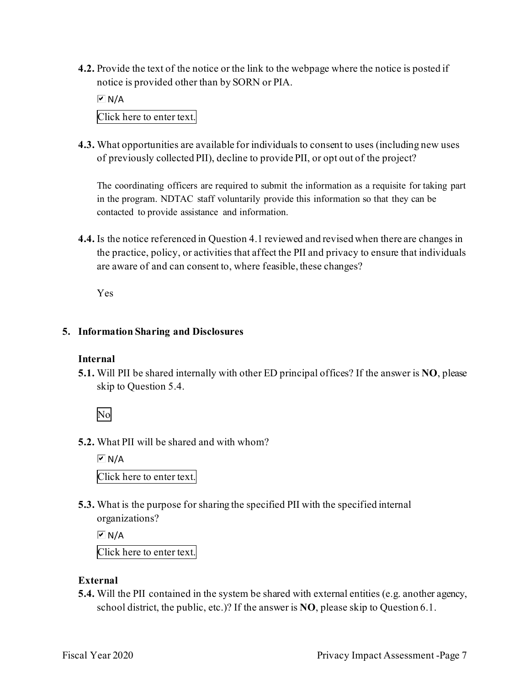**4.2.** Provide the text of the notice or the link to the webpage where the notice is posted if notice is provided other than by SORN or PIA.

 Click here to enter text.  $\overline{M}$  N/A

**4.3.** What opportunities are available for individuals to consent to uses (including new uses of previously collected PII), decline to provide PII, or opt out of the project?

 The coordinating officers are required to submit the information as a requisite for taking part in the program. NDTAC staff voluntarily provide this information so that they can be contacted to provide assistance and information.

**4.4.** Is the notice referenced in Question 4.1 reviewed and revised when there are changes in the practice, policy, or activities that affect the PII and privacy to ensure that individuals are aware of and can consent to, where feasible, these changes?

Yes

## **5. Information Sharing and Disclosures**

## **Internal**

 **5.1.** Will PII be shared internally with other ED principal offices? If the answer is **NO**, please skip to Question 5.4.

No

**5.2.** What PII will be shared and with whom?

 Click here to enter text.  $\overline{M}$  N/A

**5.3.** What is the purpose for sharing the specified PII with the specified internal organizations?

 $\overline{M}$  N/A

Click here to enter text.

## **External**

**5.4.** Will the PII contained in the system be shared with external entities (e.g. another agency, school district, the public, etc.)? If the answer is **NO**, please skip to Question 6.1.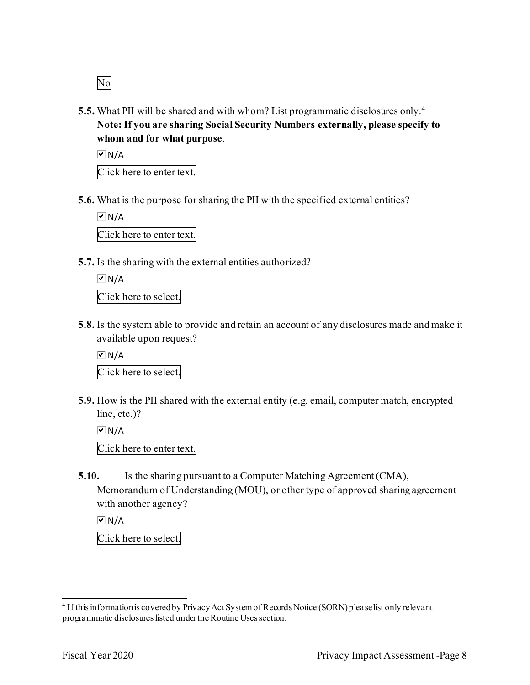No

 **5.5.** What PII will be shared and with whom? List programmatic disclosures only. 4 **Note: If you are sharing Social Security Numbers externally, please specify to whom and for what purpose**.

 $\overline{M}$  N/A

Click here to enter text.

**5.6.** What is the purpose for sharing the PII with the specified external entities?

 Click here to enter text.  $\overline{M}$  N/A

**5.7.** Is the sharing with the external entities authorized?

 Click here to select.  $\overline{M}$  N/A

**5.8.** Is the system able to provide and retain an account of any disclosures made and make it available upon request?

 Click here to select.  $\overline{M}$  N/A

- **5.9.** How is the PII shared with the external entity (e.g. email, computer match, encrypted line, etc.)?
	- Click here to enter text.  $\overline{M}$  N/A
- **5.10.** Is the sharing pursuant to a Computer Matching Agreement (CMA), Memorandum of Understanding (MOU), or other type of approved sharing agreement with another agency?

 $\overline{M}$  N/A

Click here to select.

<sup>&</sup>lt;sup>4</sup> If this information is covered by Privacy Act System of Records Notice (SORN) please list only relevant programmatic disclosures listed under the Routine Uses section.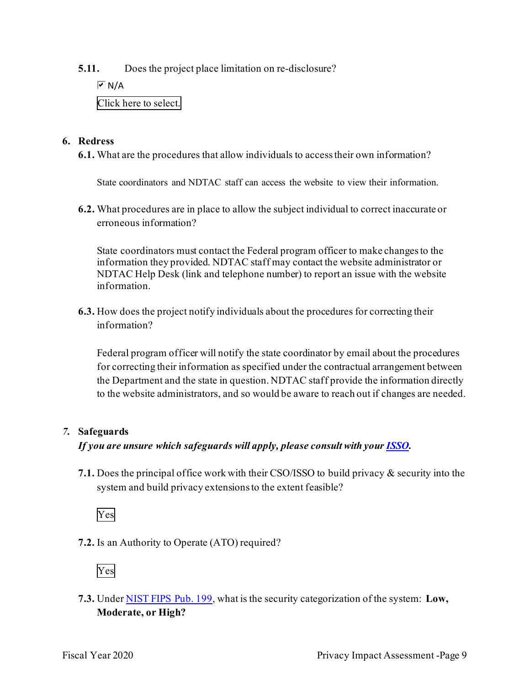**5.11.** Does the project place limitation on re-disclosure?

 $\overline{M}$  N/A

# Click here to select.

#### **6. Redress**

**6.1.** What are the procedures that allow individuals to access their own information?

State coordinators and NDTAC staff can access the website to view their information.

**6.2.** What procedures are in place to allow the subject individual to correct inaccurate or erroneous information?

State coordinators must contact the Federal program officer to make changes to the information they provided. NDTAC staff may contact the website administrator or NDTAC Help Desk (link and telephone number) to report an issue with the website information.

**6.3.** How does the project notify individuals about the procedures for correcting their information?

Federal program officer will notify the state coordinator by email about the procedures for correcting their information as specified under the contractual arrangement between the Department and the state in question. NDTAC staff provide the information directly to the website administrators, and so would be aware to reach out if changes are needed.

#### *7.* **Safeguards**

#### *If you are unsure which safeguards will apply, please consult with your ISSO.*

**7.1.** Does the principal office work with their CSO/ISSO to build privacy & security into the system and build privacy extensions to the extent feasible?



**7.2.** Is an Authority to Operate (ATO) required?



**7.3.** Under NIST FIPS Pub. 199, what is the security categorization of the system: **Low, Moderate, or High?**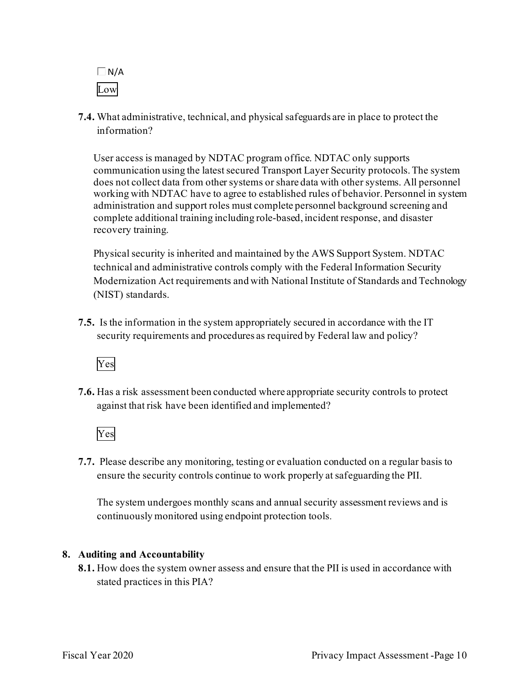

**7.4.** What administrative, technical, and physical safeguards are in place to protect the information?

User access is managed by NDTAC program office. NDTAC only supports communication using the latest secured Transport Layer Security protocols. The system does not collect data from other systems or share data with other systems. All personnel working with NDTAC have to agree to established rules of behavior. Personnel in system administration and support roles must complete personnel background screening and complete additional training including role-based, incident response, and disaster recovery training.

Physical security is inherited and maintained by the AWS Support System. NDTAC technical and administrative controls comply with the Federal Information Security Modernization Act requirements and with National Institute of Standards and Technology (NIST) standards.

**7.5.** Is the information in the system appropriately secured in accordance with the IT security requirements and procedures as required by Federal law and policy?



**7.6.** Has a risk assessment been conducted where appropriate security controls to protect against that risk have been identified and implemented?



 ensure the security controls continue to work properly at safeguarding the PII. **7.7.** Please describe any monitoring, testing or evaluation conducted on a regular basis to

The system undergoes monthly scans and annual security assessment reviews and is continuously monitored using endpoint protection tools.

#### **8. Auditing and Accountability**

 **8.1.** How does the system owner assess and ensure that the PII is used in accordance with stated practices in this PIA?